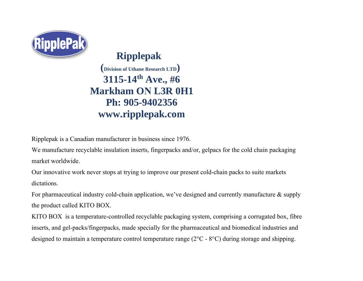

**Ripplepak (Division of Uthane Research LTD) 3115-14th Ave., #6 Markham ON L3R 0H1 Ph: 905-9402356 www.ripplepak.com**

Ripplepak is a Canadian manufacturer in business since 1976.

We manufacture recyclable insulation inserts, fingerpacks and/or, gelpacs for the cold chain packaging market worldwide.

Our innovative work never stops at trying to improve our present cold-chain packs to suite markets dictations.

For pharmaceutical industry cold-chain application, we've designed and currently manufacture & supply the product called KITO BOX.

KITO BOX is a temperature-controlled recyclable packaging system, comprising a corrugated box, fibre inserts, and gel-packs/fingerpacks, made specially for the pharmaceutical and biomedical industries and designed to maintain a temperature control temperature range (2°C - 8°C) during storage and shipping.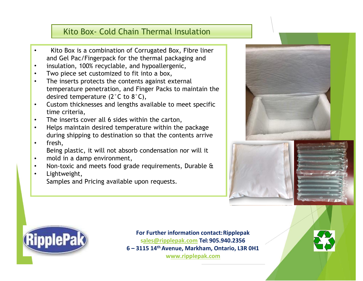## Kito Box- Cold Chain Thermal Insulation

- Kito Box is a combination of Corrugated Box, Fibre liner and Gel Pac/Fingerpack for the thermal packaging and
- insulation, 100% recyclable, and hypoallergenic,
- Two piece set customized to fit into a box,
- $\bullet$ The inserts protects the contents against external temperature penetration, and Finger Packs to maintain the desired temperature (2°C to 8°C),
- $\bullet$ Custom thicknesses and lengths available to meet specific time criteria,
- The inserts cover all 6 sides within the carton,
- Helps maintain desired temperature within the package during shipping to destination so that the contents arrive
- fresh,

Being plastic, it will not absorb condensation nor will it

- $\bullet$ mold in a damp environment,
- $\bullet$ Non-toxic and meets food grade requirements, Durable &
- Lightweight,

Samples and Pricing available upon requests.









**For Further information contact:Ripplepak [sales@ripplepak.com](mailto:ales@ripplepak.com) Tel:905.940.2356 6 – 3115 14th Avenue, Markham, Ontario, L3R 0H1 www.ripplepak.com**

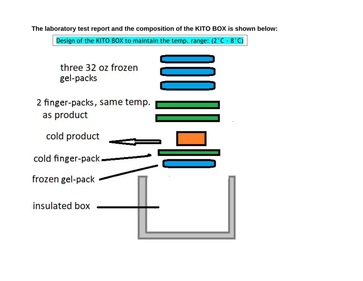

**The laboratory test report and the composition of the KITO BOX is shown below:**